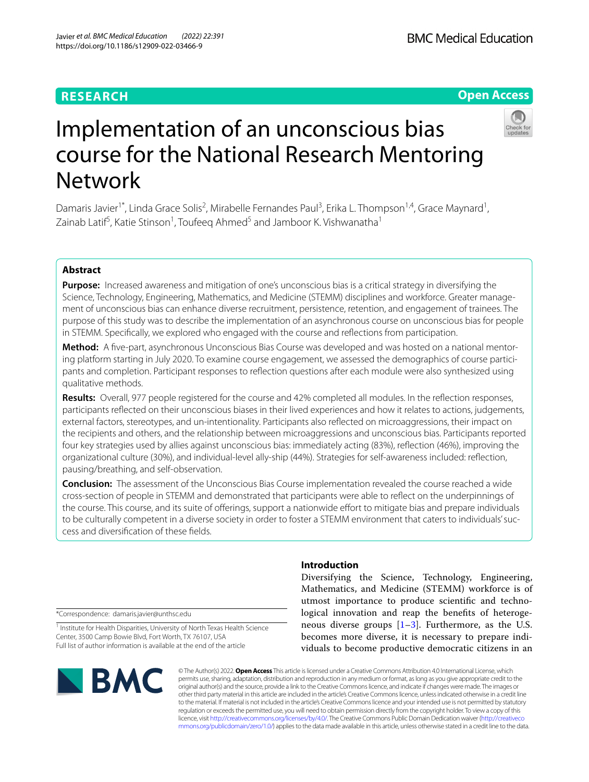# **RESEARCH**

# **Open Access**



# Implementation of an unconscious bias course for the National Research Mentoring Network

Damaris Javier<sup>1\*</sup>, Linda Grace Solis<sup>2</sup>, Mirabelle Fernandes Paul<sup>3</sup>, Erika L. Thompson<sup>1,4</sup>, Grace Maynard<sup>1</sup>, Zainab Latif<sup>5</sup>, Katie Stinson<sup>1</sup>, Toufeeq Ahmed<sup>5</sup> and Jamboor K. Vishwanatha<sup>1</sup>

# **Abstract**

**Purpose:** Increased awareness and mitigation of one's unconscious bias is a critical strategy in diversifying the Science, Technology, Engineering, Mathematics, and Medicine (STEMM) disciplines and workforce. Greater management of unconscious bias can enhance diverse recruitment, persistence, retention, and engagement of trainees. The purpose of this study was to describe the implementation of an asynchronous course on unconscious bias for people in STEMM. Specifcally, we explored who engaged with the course and refections from participation.

**Method:** A fve-part, asynchronous Unconscious Bias Course was developed and was hosted on a national mentoring platform starting in July 2020. To examine course engagement, we assessed the demographics of course participants and completion. Participant responses to refection questions after each module were also synthesized using qualitative methods.

**Results:** Overall, 977 people registered for the course and 42% completed all modules. In the refection responses, participants refected on their unconscious biases in their lived experiences and how it relates to actions, judgements, external factors, stereotypes, and un-intentionality. Participants also refected on microaggressions, their impact on the recipients and others, and the relationship between microaggressions and unconscious bias. Participants reported four key strategies used by allies against unconscious bias: immediately acting (83%), refection (46%), improving the organizational culture (30%), and individual-level ally-ship (44%). Strategies for self-awareness included: refection, pausing/breathing, and self-observation.

**Conclusion:** The assessment of the Unconscious Bias Course implementation revealed the course reached a wide cross-section of people in STEMM and demonstrated that participants were able to refect on the underpinnings of the course. This course, and its suite of offerings, support a nationwide effort to mitigate bias and prepare individuals to be culturally competent in a diverse society in order to foster a STEMM environment that caters to individuals' success and diversifcation of these felds.

\*Correspondence: damaris.javier@unthsc.edu

<sup>1</sup> Institute for Health Disparities, University of North Texas Health Science Center, 3500 Camp Bowie Blvd, Fort Worth, TX 76107, USA Full list of author information is available at the end of the article

# **BMC**

# **Introduction**

Diversifying the Science, Technology, Engineering, Mathematics, and Medicine (STEMM) workforce is of utmost importance to produce scientifc and technological innovation and reap the benefts of heterogeneous diverse groups  $[1-3]$  $[1-3]$  $[1-3]$ . Furthermore, as the U.S. becomes more diverse, it is necessary to prepare individuals to become productive democratic citizens in an

© The Author(s) 2022. **Open Access** This article is licensed under a Creative Commons Attribution 4.0 International License, which permits use, sharing, adaptation, distribution and reproduction in any medium or format, as long as you give appropriate credit to the original author(s) and the source, provide a link to the Creative Commons licence, and indicate if changes were made. The images or other third party material in this article are included in the article's Creative Commons licence, unless indicated otherwise in a credit line to the material. If material is not included in the article's Creative Commons licence and your intended use is not permitted by statutory regulation or exceeds the permitted use, you will need to obtain permission directly from the copyright holder. To view a copy of this licence, visit [http://creativecommons.org/licenses/by/4.0/.](http://creativecommons.org/licenses/by/4.0/) The Creative Commons Public Domain Dedication waiver ([http://creativeco](http://creativecommons.org/publicdomain/zero/1.0/) [mmons.org/publicdomain/zero/1.0/](http://creativecommons.org/publicdomain/zero/1.0/)) applies to the data made available in this article, unless otherwise stated in a credit line to the data.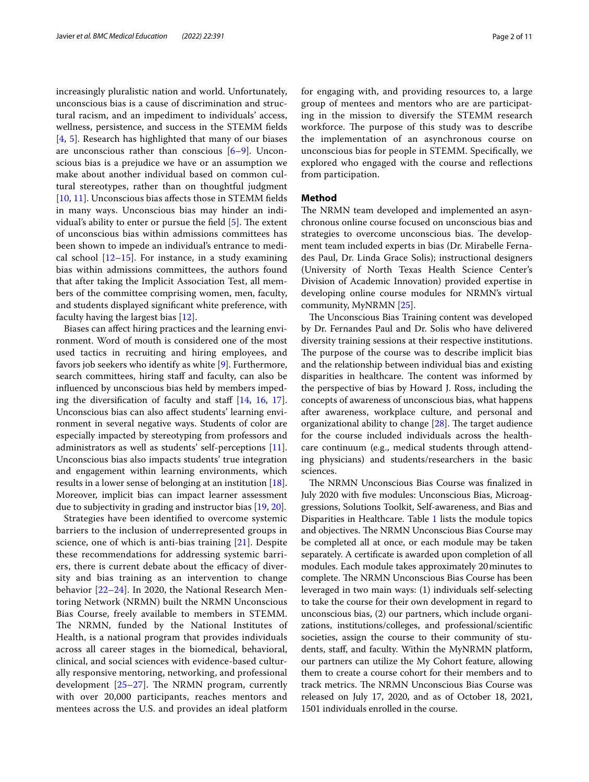increasingly pluralistic nation and world. Unfortunately, unconscious bias is a cause of discrimination and structural racism, and an impediment to individuals' access, wellness, persistence, and success in the STEMM felds [[4,](#page-9-2) [5](#page-9-3)]. Research has highlighted that many of our biases are unconscious rather than conscious  $[6-9]$  $[6-9]$ . Unconscious bias is a prejudice we have or an assumption we make about another individual based on common cultural stereotypes, rather than on thoughtful judgment [[10,](#page-9-6) [11](#page-9-7)]. Unconscious bias affects those in STEMM fields in many ways. Unconscious bias may hinder an individual's ability to enter or pursue the field  $[5]$  $[5]$ . The extent of unconscious bias within admissions committees has been shown to impede an individual's entrance to medical school  $[12-15]$  $[12-15]$  $[12-15]$ . For instance, in a study examining bias within admissions committees, the authors found that after taking the Implicit Association Test, all members of the committee comprising women, men, faculty, and students displayed signifcant white preference, with faculty having the largest bias [[12\]](#page-9-8).

Biases can afect hiring practices and the learning environment. Word of mouth is considered one of the most used tactics in recruiting and hiring employees, and favors job seekers who identify as white [\[9](#page-9-5)]. Furthermore, search committees, hiring staff and faculty, can also be infuenced by unconscious bias held by members impeding the diversification of faculty and staff  $[14, 16, 17]$  $[14, 16, 17]$  $[14, 16, 17]$  $[14, 16, 17]$  $[14, 16, 17]$  $[14, 16, 17]$ . Unconscious bias can also afect students' learning environment in several negative ways. Students of color are especially impacted by stereotyping from professors and administrators as well as students' self-perceptions [\[11](#page-9-7)]. Unconscious bias also impacts students' true integration and engagement within learning environments, which results in a lower sense of belonging at an institution [\[18](#page-9-13)]. Moreover, implicit bias can impact learner assessment due to subjectivity in grading and instructor bias [\[19,](#page-9-14) [20](#page-9-15)].

Strategies have been identifed to overcome systemic barriers to the inclusion of underrepresented groups in science, one of which is anti-bias training [[21](#page-9-16)]. Despite these recommendations for addressing systemic barriers, there is current debate about the efficacy of diversity and bias training as an intervention to change behavior [\[22](#page-9-17)[–24](#page-9-18)]. In 2020, the National Research Mentoring Network (NRMN) built the NRMN Unconscious Bias Course, freely available to members in STEMM. The NRMN, funded by the National Institutes of Health, is a national program that provides individuals across all career stages in the biomedical, behavioral, clinical, and social sciences with evidence-based culturally responsive mentoring, networking, and professional development  $[25-27]$  $[25-27]$ . The NRMN program, currently with over 20,000 participants, reaches mentors and mentees across the U.S. and provides an ideal platform for engaging with, and providing resources to, a large group of mentees and mentors who are are participating in the mission to diversify the STEMM research workforce. The purpose of this study was to describe the implementation of an asynchronous course on unconscious bias for people in STEMM. Specifcally, we explored who engaged with the course and refections from participation.

# **Method**

The NRMN team developed and implemented an asynchronous online course focused on unconscious bias and strategies to overcome unconscious bias. The development team included experts in bias (Dr. Mirabelle Fernades Paul, Dr. Linda Grace Solis); instructional designers (University of North Texas Health Science Center's Division of Academic Innovation) provided expertise in developing online course modules for NRMN's virtual community, MyNRMN [\[25](#page-9-19)].

The Unconscious Bias Training content was developed by Dr. Fernandes Paul and Dr. Solis who have delivered diversity training sessions at their respective institutions. The purpose of the course was to describe implicit bias and the relationship between individual bias and existing disparities in healthcare. The content was informed by the perspective of bias by Howard J. Ross, including the concepts of awareness of unconscious bias, what happens after awareness, workplace culture, and personal and organizational ability to change  $[28]$  $[28]$  $[28]$ . The target audience for the course included individuals across the healthcare continuum (e.g., medical students through attending physicians) and students/researchers in the basic sciences.

The NRMN Unconscious Bias Course was finalized in July 2020 with fve modules: Unconscious Bias, Microaggressions, Solutions Toolkit, Self-awareness, and Bias and Disparities in Healthcare. Table [1](#page-2-0) lists the module topics and objectives. The NRMN Unconscious Bias Course may be completed all at once, or each module may be taken separately. A certifcate is awarded upon completion of all modules. Each module takes approximately 20minutes to complete. The NRMN Unconscious Bias Course has been leveraged in two main ways: (1) individuals self-selecting to take the course for their own development in regard to unconscious bias, (2) our partners, which include organizations, institutions/colleges, and professional/scientifc societies, assign the course to their community of students, staf, and faculty. Within the MyNRMN platform, our partners can utilize the My Cohort feature, allowing them to create a course cohort for their members and to track metrics. The NRMN Unconscious Bias Course was released on July 17, 2020, and as of October 18, 2021, 1501 individuals enrolled in the course.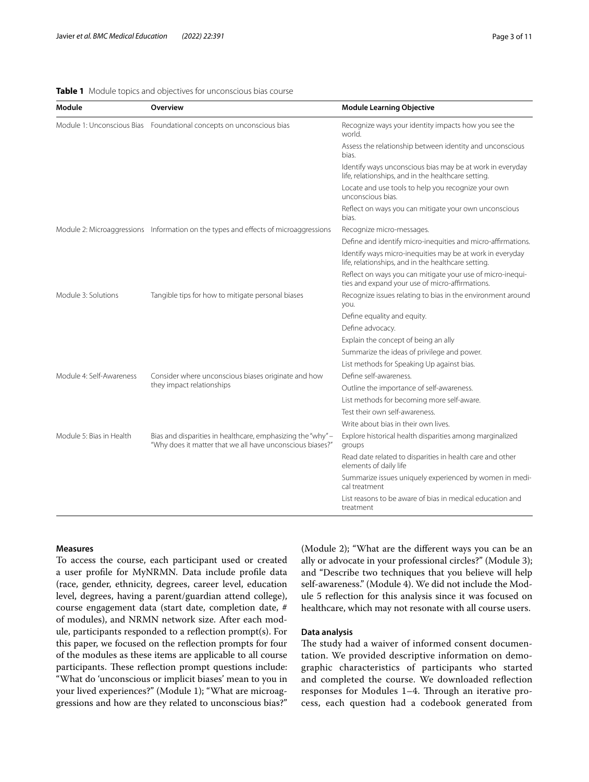# <span id="page-2-0"></span>**Table 1** Module topics and objectives for unconscious bias course

| Module                     | <b>Overview</b>                                                                                                          | <b>Module Learning Objective</b>                                                                                 |
|----------------------------|--------------------------------------------------------------------------------------------------------------------------|------------------------------------------------------------------------------------------------------------------|
| Module 1: Unconscious Bias | Foundational concepts on unconscious bias                                                                                | Recognize ways your identity impacts how you see the<br>world.                                                   |
|                            |                                                                                                                          | Assess the relationship between identity and unconscious<br>bias.                                                |
|                            |                                                                                                                          | Identify ways unconscious bias may be at work in everyday<br>life, relationships, and in the healthcare setting. |
|                            |                                                                                                                          | Locate and use tools to help you recognize your own<br>unconscious bias.                                         |
|                            |                                                                                                                          | Reflect on ways you can mitigate your own unconscious<br>bias.                                                   |
|                            | Module 2: Microaggressions Information on the types and effects of microaggressions                                      | Recognize micro-messages.                                                                                        |
|                            |                                                                                                                          | Define and identify micro-inequities and micro-affirmations.                                                     |
|                            |                                                                                                                          | Identify ways micro-inequities may be at work in everyday<br>life, relationships, and in the healthcare setting. |
|                            |                                                                                                                          | Reflect on ways you can mitigate your use of micro-inequi-<br>ties and expand your use of micro-affirmations.    |
| Module 3: Solutions        | Tangible tips for how to mitigate personal biases                                                                        | Recognize issues relating to bias in the environment around<br>you.                                              |
|                            |                                                                                                                          | Define equality and equity.                                                                                      |
|                            |                                                                                                                          | Define advocacy.                                                                                                 |
|                            |                                                                                                                          | Explain the concept of being an ally                                                                             |
|                            |                                                                                                                          | Summarize the ideas of privilege and power.                                                                      |
|                            |                                                                                                                          | List methods for Speaking Up against bias.                                                                       |
| Module 4: Self-Awareness   | Consider where unconscious biases originate and how<br>they impact relationships                                         | Define self-awareness.                                                                                           |
|                            |                                                                                                                          | Outline the importance of self-awareness.                                                                        |
|                            |                                                                                                                          | List methods for becoming more self-aware.                                                                       |
|                            |                                                                                                                          | Test their own self-awareness.                                                                                   |
|                            |                                                                                                                          | Write about bias in their own lives.                                                                             |
| Module 5: Bias in Health   | Bias and disparities in healthcare, emphasizing the "why" -<br>"Why does it matter that we all have unconscious biases?" | Explore historical health disparities among marginalized<br>groups                                               |
|                            |                                                                                                                          | Read date related to disparities in health care and other<br>elements of daily life                              |
|                            |                                                                                                                          | Summarize issues uniquely experienced by women in medi-<br>cal treatment                                         |
|                            |                                                                                                                          | List reasons to be aware of bias in medical education and<br>treatment                                           |

# **Measures**

To access the course, each participant used or created a user profle for MyNRMN. Data include profle data (race, gender, ethnicity, degrees, career level, education level, degrees, having a parent/guardian attend college), course engagement data (start date, completion date, # of modules), and NRMN network size. After each module, participants responded to a refection prompt(s). For this paper, we focused on the refection prompts for four of the modules as these items are applicable to all course participants. These reflection prompt questions include: "What do 'unconscious or implicit biases' mean to you in your lived experiences?" (Module 1); "What are microaggressions and how are they related to unconscious bias?" (Module 2); "What are the diferent ways you can be an ally or advocate in your professional circles?" (Module 3); and "Describe two techniques that you believe will help self-awareness." (Module 4). We did not include the Module 5 refection for this analysis since it was focused on healthcare, which may not resonate with all course users.

# **Data analysis**

The study had a waiver of informed consent documentation. We provided descriptive information on demographic characteristics of participants who started and completed the course. We downloaded refection responses for Modules 1-4. Through an iterative process, each question had a codebook generated from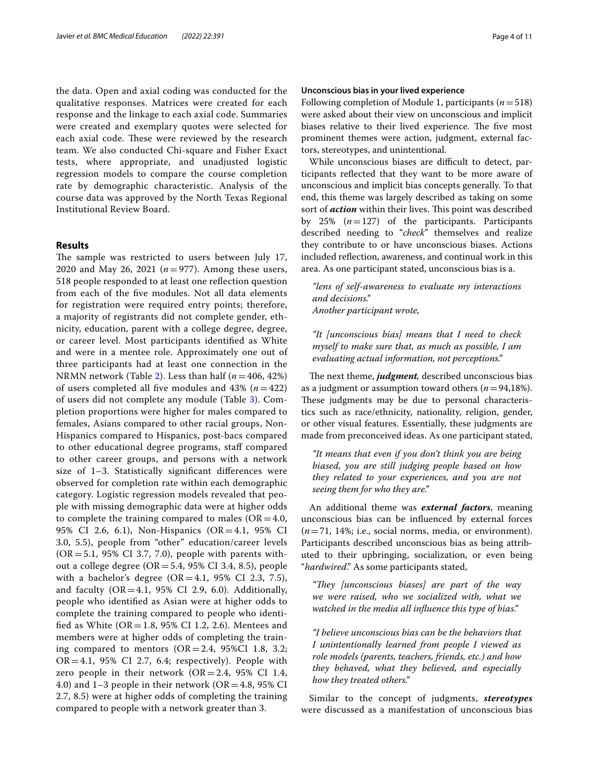the data. Open and axial coding was conducted for the qualitative responses. Matrices were created for each response and the linkage to each axial code. Summaries were created and exemplary quotes were selected for each axial code. These were reviewed by the research team. We also conducted Chi-square and Fisher Exact tests, where appropriate, and unadjusted logistic regression models to compare the course completion rate by demographic characteristic. Analysis of the course data was approved by the North Texas Regional Institutional Review Board.

# **Results**

The sample was restricted to users between July 17, 2020 and May 26, 2021 (*n*=977). Among these users, 518 people responded to at least one refection question from each of the fve modules. Not all data elements for registration were required entry points; therefore, a majority of registrants did not complete gender, ethnicity, education, parent with a college degree, degree, or career level. Most participants identifed as White and were in a mentee role. Approximately one out of three participants had at least one connection in the NRMN network (Table [2\)](#page-4-0). Less than half (*n*=406, 42%) of users completed all fve modules and 43% (*n*=422) of users did not complete any module (Table [3\)](#page-5-0). Completion proportions were higher for males compared to females, Asians compared to other racial groups, Non-Hispanics compared to Hispanics, post-bacs compared to other educational degree programs, staf compared to other career groups, and persons with a network size of 1–3. Statistically signifcant diferences were observed for completion rate within each demographic category. Logistic regression models revealed that people with missing demographic data were at higher odds to complete the training compared to males ( $OR = 4.0$ , 95% CI 2.6, 6.1), Non-Hispanics (OR=4.1, 95% CI 3.0, 5.5), people from "other" education/career levels  $(OR = 5.1, 95\% \text{ CI } 3.7, 7.0)$ , people with parents without a college degree ( $OR = 5.4$ , 95% CI 3.4, 8.5), people with a bachelor's degree  $(OR=4.1, 95\% \text{ CI } 2.3, 7.5)$ , and faculty  $(OR = 4.1, 95\% \text{ CI } 2.9, 6.0)$ . Additionally, people who identifed as Asian were at higher odds to complete the training compared to people who identifed as White (OR=1.8, 95% CI 1.2, 2.6). Mentees and members were at higher odds of completing the training compared to mentors  $(OR = 2.4, 95\% CI 1.8, 3.2;$  $OR = 4.1$ , 95% CI 2.7, 6.4; respectively). People with zero people in their network  $(OR = 2.4, 95\% \text{ CI } 1.4,$ 4.0) and 1–3 people in their network (OR = 4.8, 95% CI 2.7, 8.5) were at higher odds of completing the training compared to people with a network greater than 3.

# **Unconscious bias in your lived experience**

Following completion of Module 1, participants (*n*=518) were asked about their view on unconscious and implicit biases relative to their lived experience. The five most prominent themes were action, judgment, external factors, stereotypes, and unintentional.

While unconscious biases are difficult to detect, participants refected that they want to be more aware of unconscious and implicit bias concepts generally. To that end, this theme was largely described as taking on some sort of *action* within their lives. This point was described by 25%  $(n=127)$  of the participants. Participants described needing to "*check*" themselves and realize they contribute to or have unconscious biases. Actions included refection, awareness, and continual work in this area. As one participant stated, unconscious bias is a.

*"lens of self-awareness to evaluate my interactions and decisions." Another participant wrote,*

# *"It [unconscious bias] means that I need to check myself to make sure that, as much as possible, I am evaluating actual information, not perceptions."*

The next theme, *judgment*, described unconscious bias as a judgment or assumption toward others (*n*=94,18%). These judgments may be due to personal characteristics such as race/ethnicity, nationality, religion, gender, or other visual features. Essentially, these judgments are made from preconceived ideas. As one participant stated,

*"It means that even if you don't think you are being biased, you are still judging people based on how they related to your experiences, and you are not seeing them for who they are."*

An additional theme was *external factors*, meaning unconscious bias can be infuenced by external forces (*n*=71, 14%; i.e., social norms, media, or environment). Participants described unconscious bias as being attributed to their upbringing, socialization, or even being "*hardwired*." As some participants stated,

*"Tey [unconscious biases] are part of the way we were raised, who we socialized with, what we watched in the media all infuence this type of bias."*

*"I believe unconscious bias can be the behaviors that I unintentionally learned from people I viewed as role models (parents, teachers, friends, etc.) and how they behaved, what they believed, and especially how they treated others."*

Similar to the concept of judgments, *stereotypes* were discussed as a manifestation of unconscious bias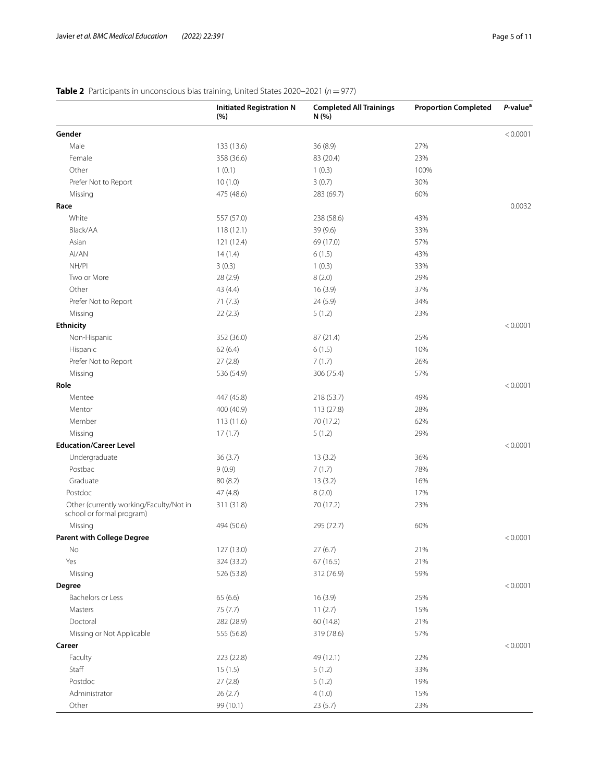# **Initiated Registration N (%) Completed All Trainings N (%) Proportion Completed** *P***-value<sup>a</sup> Gender** <0.0001 Male 133 (13.6) 36 (8.9) 36 (8.9) 37% Female 358 (36.6) 83 (20.4) 358 (36.6) 83 (20.4) Other 1 (0.1) 1 (0.3) 100% Prefer Not to Report 10 (1.0) 3 (0.7) 30% Missing 60% and 475 (48.6) 283 (69.7) 60% 60% **Race** 0.0032 White 357 (57.0) 238 (58.6) 43% Black/AA 118 (12.1) 33% 33% Asian 121 (12.4) 69 (17.0) 57% 57% AI/AN  $14 (1.4)$  6 (1.5) 43% NH/PI 3 (0.3) 33% 33% Two or More  $28 (2.9)$   $8 (2.0)$   $29\%$ Other 43 (4.4) 16 (3.9) 37% 37% Prefer Not to Report 24 (5.9) 24 (5.9) 24 (5.9) 24 (5.9) Missing 22 (2.3) 5 (1.2) 23% 23% **Ethnicity** <0.0001 Non-Hispanic 352 (36.0) 87 (21.4) 25% Hispanic 10% and the 62 (6.4) 6 (1.5) 6 (1.5) 10% Prefer Not to Report 27 (2.8) 7 (1.7) 26% Missing 536 (54.9) 306 (75.4) 57% **Role** <0.0001 Mentee 447 (45.8) 218 (53.7) 49% Mentor 28% and 400 (40.9) 113 (27.8) 113 (27.8) 28% Member 113 (11.6) 70 (17.2) 62% 62% Missing 29% 17 (1.7) 5 (1.2) 29% 29% **Education/Career Level** <0.0001 Undergraduate 36 (3.7) 13 (3.2) 36% Postbac 7 (1.7) 78% 9 (0.9) 7 (1.7) 78% Graduate 80 (8.2) 13 (3.2) 16% Postdoc 47 (4.8) 8 (2.0) 17% Other (currently working/Faculty/Not in school or formal program) 311 (31.8) 70 (17.2) 23% Missing 494 (50.6) 295 (72.7) 60% **Parent with College Degree**  $\leq 0.0001$ No 27 (13.0) 27 (6.7) 21% 21% Yes 324 (33.2) 67 (16.5) 21% Missing 526 (53.8) 312 (76.9) 59% **Degree** <0.0001 Bachelors or Less 65 (6.6) 65 (6.6) 16 (3.9) 25% 25% Masters 75 (7.7) 11 (2.7) 15% Doctoral 282 (28.9) 60 (14.8) 21% Missing or Not Applicable 555 (56.8) 319 (78.6) 57% **Career** <0.0001 Faculty 223 (22.8) 49 (12.1) 22% Staff 5 (1.5) 5 (1.5) 5 (1.2) 5 (1.2) 5 (1.2) Postdoc 27 (2.8) 5 (1.2) 19% 19% Administrator 15% 26 (2.7) 4 (1.0) 15% 15% Other 23% 99 (10.1) 23 (5.7) 23%

# <span id="page-4-0"></span>**Table 2** Participants in unconscious bias training, United States 2020–2021 (*n*=977)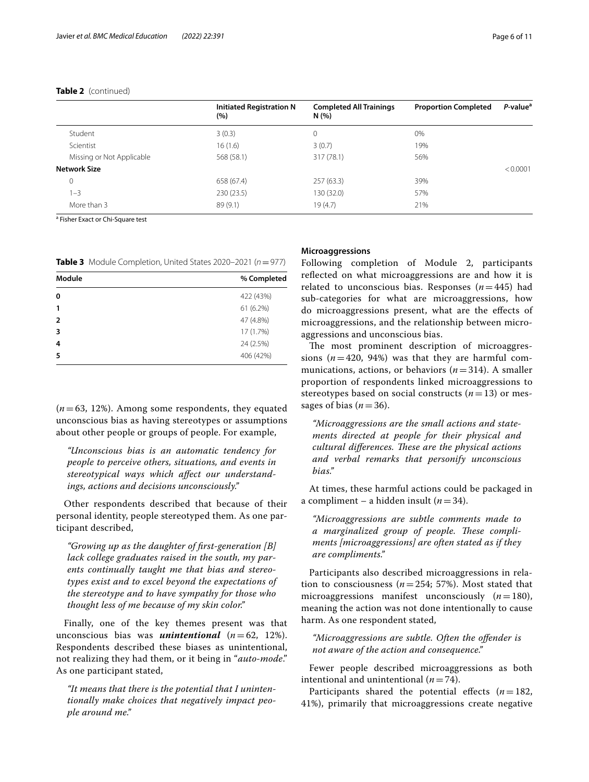# **Table 2** (continued)

|                           | <b>Initiated Registration N</b><br>(%) | <b>Completed All Trainings</b><br>N(%) | <b>Proportion Completed</b> | P-value <sup>a</sup> |
|---------------------------|----------------------------------------|----------------------------------------|-----------------------------|----------------------|
| Student                   | 3(0.3)                                 | 0                                      | 0%                          |                      |
| Scientist                 | 16(1.6)                                | 3(0.7)                                 | 19%                         |                      |
| Missing or Not Applicable | 568 (58.1)                             | 317 (78.1)                             | 56%                         |                      |
| <b>Network Size</b>       |                                        |                                        |                             | < 0.0001             |
| 0                         | 658 (67.4)                             | 257(63.3)                              | 39%                         |                      |
| $1 - 3$                   | 230(23.5)                              | 130 (32.0)                             | 57%                         |                      |
| More than 3               | 89 (9.1)                               | 19(4.7)                                | 21%                         |                      |

<sup>a</sup> Fisher Exact or Chi-Square test

<span id="page-5-0"></span>**Table 3** Module Completion, United States 2020–2021 (*n*=977)

| Module         | % Completed |  |
|----------------|-------------|--|
| 0              | 422 (43%)   |  |
| 1              | 61 (6.2%)   |  |
| $\overline{2}$ | 47 (4.8%)   |  |
| 3              | 17 (1.7%)   |  |
| 4              | 24 (2.5%)   |  |
| 5              | 406 (42%)   |  |
|                |             |  |

(*n*=63, 12%). Among some respondents, they equated unconscious bias as having stereotypes or assumptions about other people or groups of people. For example,

*"Unconscious bias is an automatic tendency for people to perceive others, situations, and events in stereotypical ways which afect our understandings, actions and decisions unconsciously."*

Other respondents described that because of their personal identity, people stereotyped them. As one participant described,

*"Growing up as the daughter of frst-generation [B] lack college graduates raised in the south, my parents continually taught me that bias and stereotypes exist and to excel beyond the expectations of the stereotype and to have sympathy for those who thought less of me because of my skin color."*

Finally, one of the key themes present was that unconscious bias was *unintentional* (*n*=62, 12%). Respondents described these biases as unintentional, not realizing they had them, or it being in "*auto-mode*." As one participant stated,

*"It means that there is the potential that I unintentionally make choices that negatively impact people around me."*

# **Microaggressions**

Following completion of Module 2, participants reflected on what microaggressions are and how it is related to unconscious bias. Responses  $(n=445)$  had sub-categories for what are microaggressions, how do microaggressions present, what are the efects of microaggressions, and the relationship between microaggressions and unconscious bias.

The most prominent description of microaggressions  $(n=420, 94%)$  was that they are harmful communications, actions, or behaviors  $(n=314)$ . A smaller proportion of respondents linked microaggressions to stereotypes based on social constructs  $(n=13)$  or messages of bias  $(n=36)$ .

*"Microaggressions are the small actions and statements directed at people for their physical and cultural differences. These are the physical actions and verbal remarks that personify unconscious bias."*

At times, these harmful actions could be packaged in a compliment – a hidden insult (*n*=34).

*"Microaggressions are subtle comments made to*  a marginalized group of people. These compli*ments [microaggressions] are often stated as if they are compliments."*

Participants also described microaggressions in relation to consciousness (*n*=254; 57%). Most stated that microaggressions manifest unconsciously  $(n=180)$ , meaning the action was not done intentionally to cause harm. As one respondent stated,

*"Microaggressions are subtle. Often the ofender is not aware of the action and consequence."*

Fewer people described microaggressions as both intentional and unintentional  $(n=74)$ .

Participants shared the potential effects  $(n=182,$ 41%), primarily that microaggressions create negative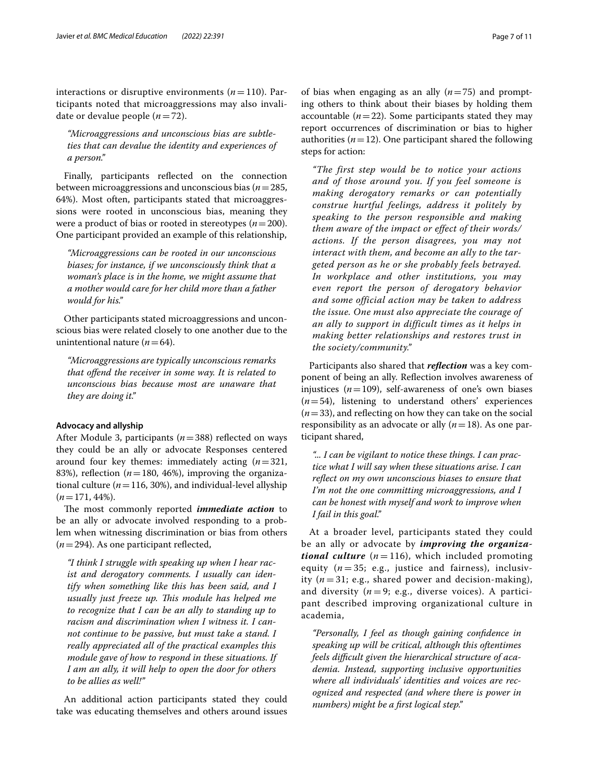interactions or disruptive environments  $(n=110)$ . Participants noted that microaggressions may also invalidate or devalue people (*n*=72).

*"Microaggressions and unconscious bias are subtleties that can devalue the identity and experiences of a person."*

Finally, participants refected on the connection between microaggressions and unconscious bias (*n*=285, 64%). Most often, participants stated that microaggressions were rooted in unconscious bias, meaning they were a product of bias or rooted in stereotypes (*n*=200). One participant provided an example of this relationship,

*"Microaggressions can be rooted in our unconscious biases; for instance, if we unconsciously think that a woman's place is in the home, we might assume that a mother would care for her child more than a father would for his."*

Other participants stated microaggressions and unconscious bias were related closely to one another due to the unintentional nature  $(n=64)$ .

*"Microaggressions are typically unconscious remarks that ofend the receiver in some way. It is related to unconscious bias because most are unaware that they are doing it."*

# **Advocacy and allyship**

After Module 3, participants (*n*=388) refected on ways they could be an ally or advocate Responses centered around four key themes: immediately acting (*n*=321, 83%), reflection ( $n=180, 46%$ ), improving the organizational culture ( $n = 116$ , 30%), and individual-level allyship  $(n=171, 44\%).$ 

The most commonly reported *immediate action* to be an ally or advocate involved responding to a problem when witnessing discrimination or bias from others  $(n=294)$ . As one participant reflected,

*"I think I struggle with speaking up when I hear racist and derogatory comments. I usually can identify when something like this has been said, and I usually just freeze up. Tis module has helped me to recognize that I can be an ally to standing up to racism and discrimination when I witness it. I cannot continue to be passive, but must take a stand. I really appreciated all of the practical examples this module gave of how to respond in these situations. If I am an ally, it will help to open the door for others to be allies as well!"*

An additional action participants stated they could take was educating themselves and others around issues

of bias when engaging as an ally (*n*=75) and prompting others to think about their biases by holding them accountable  $(n=22)$ . Some participants stated they may report occurrences of discrimination or bias to higher authorities  $(n=12)$ . One participant shared the following steps for action:

*"The first step would be to notice your actions and of those around you. If you feel someone is making derogatory remarks or can potentially construe hurtful feelings, address it politely by speaking to the person responsible and making them aware of the impact or effect of their words/ actions. If the person disagrees, you may not interact with them, and become an ally to the targeted person as he or she probably feels betrayed. In workplace and other institutions, you may even report the person of derogatory behavior and some official action may be taken to address the issue. One must also appreciate the courage of an ally to support in difficult times as it helps in making better relationships and restores trust in the society/community."*

Participants also shared that *refection* was a key component of being an ally. Refection involves awareness of injustices  $(n=109)$ , self-awareness of one's own biases  $(n=54)$ , listening to understand others' experiences  $(n=33)$ , and reflecting on how they can take on the social responsibility as an advocate or ally (*n*=18). As one participant shared,

*"... I can be vigilant to notice these things. I can practice what I will say when these situations arise. I can refect on my own unconscious biases to ensure that I'm not the one committing microaggressions, and I can be honest with myself and work to improve when I fail in this goal."*

At a broader level, participants stated they could be an ally or advocate by *improving the organizational culture*  $(n=116)$ , which included promoting equity  $(n=35; e.g.,$  justice and fairness), inclusivity  $(n=31; e.g., shared power and decision-making)$ , and diversity  $(n=9; e.g.,$  diverse voices). A participant described improving organizational culture in academia,

*"Personally, I feel as though gaining confdence in speaking up will be critical, although this oftentimes feels difcult given the hierarchical structure of academia. Instead, supporting inclusive opportunities where all individuals' identities and voices are recognized and respected (and where there is power in numbers) might be a frst logical step."*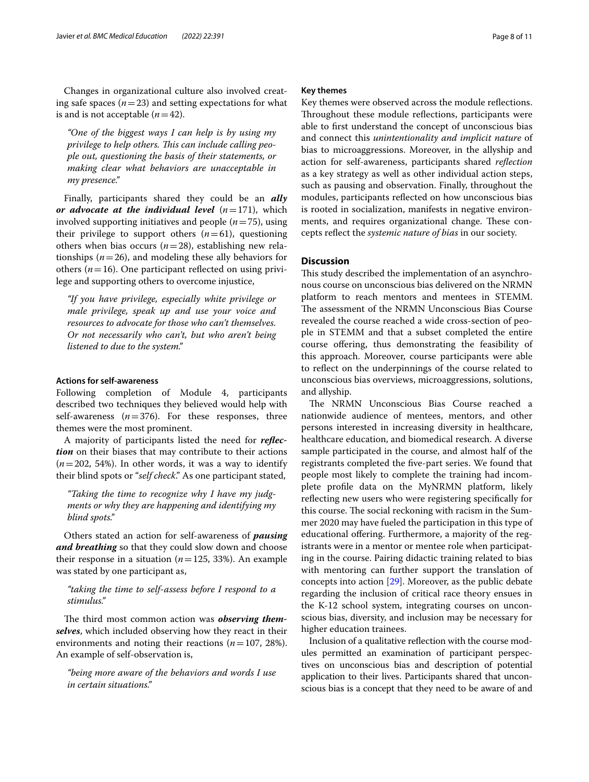Changes in organizational culture also involved creating safe spaces  $(n=23)$  and setting expectations for what is and is not acceptable  $(n=42)$ .

*"One of the biggest ways I can help is by using my*  privilege to help others. This can include calling peo*ple out, questioning the basis of their statements, or making clear what behaviors are unacceptable in my presence."*

Finally, participants shared they could be an *ally or advocate at the individual level*  $(n=171)$ , which involved supporting initiatives and people (*n*=75), using their privilege to support others  $(n=61)$ , questioning others when bias occurs  $(n=28)$ , establishing new relationships  $(n=26)$ , and modeling these ally behaviors for others ( $n=16$ ). One participant reflected on using privilege and supporting others to overcome injustice,

*"If you have privilege, especially white privilege or male privilege, speak up and use your voice and resources to advocate for those who can't themselves. Or not necessarily who can't, but who aren't being listened to due to the system."*

# **Actions for self-awareness**

Following completion of Module 4, participants described two techniques they believed would help with self-awareness  $(n=376)$ . For these responses, three themes were the most prominent.

A majority of participants listed the need for *refection* on their biases that may contribute to their actions (*n*=202, 54%). In other words, it was a way to identify their blind spots or "*self check*." As one participant stated,

*"Taking the time to recognize why I have my judgments or why they are happening and identifying my blind spots."*

Others stated an action for self-awareness of *pausing and breathing* so that they could slow down and choose their response in a situation ( $n=125$ , 33%). An example was stated by one participant as,

# *"taking the time to self-assess before I respond to a stimulus."*

The third most common action was *observing themselves*, which included observing how they react in their environments and noting their reactions (*n*=107, 28%). An example of self-observation is,

*"being more aware of the behaviors and words I use in certain situations."*

# **Key themes**

Key themes were observed across the module refections. Throughout these module reflections, participants were able to frst understand the concept of unconscious bias and connect this *unintentionality and implicit nature* of bias to microaggressions. Moreover, in the allyship and action for self-awareness, participants shared *refection* as a key strategy as well as other individual action steps, such as pausing and observation. Finally, throughout the modules, participants refected on how unconscious bias is rooted in socialization, manifests in negative environments, and requires organizational change. These concepts refect the *systemic nature of bias* in our society.

# **Discussion**

This study described the implementation of an asynchronous course on unconscious bias delivered on the NRMN platform to reach mentors and mentees in STEMM. The assessment of the NRMN Unconscious Bias Course revealed the course reached a wide cross-section of people in STEMM and that a subset completed the entire course offering, thus demonstrating the feasibility of this approach. Moreover, course participants were able to refect on the underpinnings of the course related to unconscious bias overviews, microaggressions, solutions, and allyship.

The NRMN Unconscious Bias Course reached a nationwide audience of mentees, mentors, and other persons interested in increasing diversity in healthcare, healthcare education, and biomedical research. A diverse sample participated in the course, and almost half of the registrants completed the fve-part series. We found that people most likely to complete the training had incomplete profle data on the MyNRMN platform, likely refecting new users who were registering specifcally for this course. The social reckoning with racism in the Summer 2020 may have fueled the participation in this type of educational ofering. Furthermore, a majority of the registrants were in a mentor or mentee role when participating in the course. Pairing didactic training related to bias with mentoring can further support the translation of concepts into action [\[29\]](#page-10-0). Moreover, as the public debate regarding the inclusion of critical race theory ensues in the K-12 school system, integrating courses on unconscious bias, diversity, and inclusion may be necessary for higher education trainees.

Inclusion of a qualitative refection with the course modules permitted an examination of participant perspectives on unconscious bias and description of potential application to their lives. Participants shared that unconscious bias is a concept that they need to be aware of and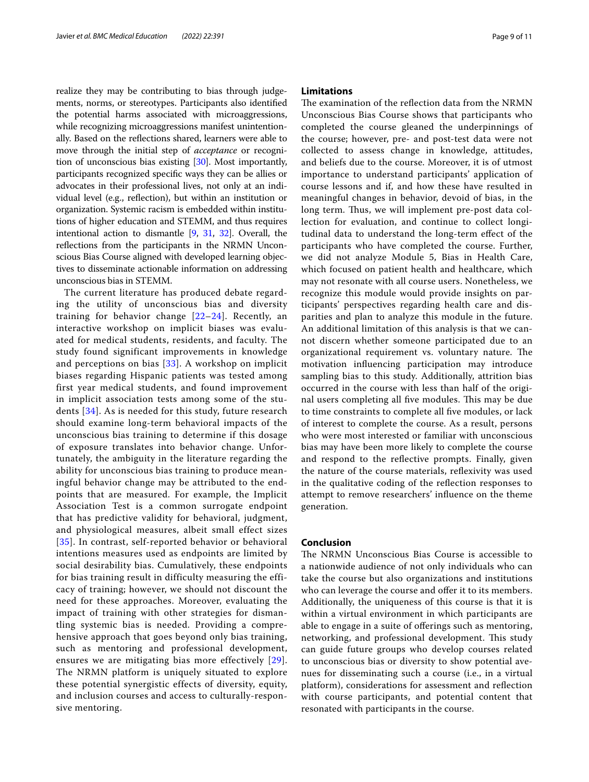realize they may be contributing to bias through judgements, norms, or stereotypes. Participants also identifed the potential harms associated with microaggressions, while recognizing microaggressions manifest unintentionally. Based on the refections shared, learners were able to move through the initial step of *acceptance* or recognition of unconscious bias existing [\[30\]](#page-10-1). Most importantly, participants recognized specifc ways they can be allies or advocates in their professional lives, not only at an individual level (e.g., refection), but within an institution or organization. Systemic racism is embedded within institutions of higher education and STEMM, and thus requires intentional action to dismantle [[9,](#page-9-5) [31](#page-10-2), [32](#page-10-3)]. Overall, the refections from the participants in the NRMN Unconscious Bias Course aligned with developed learning objectives to disseminate actionable information on addressing unconscious bias in STEMM.

The current literature has produced debate regarding the utility of unconscious bias and diversity training for behavior change  $[22-24]$  $[22-24]$  $[22-24]$ . Recently, an interactive workshop on implicit biases was evaluated for medical students, residents, and faculty. The study found significant improvements in knowledge and perceptions on bias  $[33]$  $[33]$  $[33]$ . A workshop on implicit biases regarding Hispanic patients was tested among first year medical students, and found improvement in implicit association tests among some of the students [\[34\]](#page-10-5). As is needed for this study, future research should examine long-term behavioral impacts of the unconscious bias training to determine if this dosage of exposure translates into behavior change. Unfortunately, the ambiguity in the literature regarding the ability for unconscious bias training to produce meaningful behavior change may be attributed to the endpoints that are measured. For example, the Implicit Association Test is a common surrogate endpoint that has predictive validity for behavioral, judgment, and physiological measures, albeit small effect sizes [[35](#page-10-6)]. In contrast, self-reported behavior or behavioral intentions measures used as endpoints are limited by social desirability bias. Cumulatively, these endpoints for bias training result in difficulty measuring the efficacy of training; however, we should not discount the need for these approaches. Moreover, evaluating the impact of training with other strategies for dismantling systemic bias is needed. Providing a comprehensive approach that goes beyond only bias training, such as mentoring and professional development, ensures we are mitigating bias more effectively [[29\]](#page-10-0). The NRMN platform is uniquely situated to explore these potential synergistic effects of diversity, equity, and inclusion courses and access to culturally-responsive mentoring.

# **Limitations**

The examination of the reflection data from the NRMN Unconscious Bias Course shows that participants who completed the course gleaned the underpinnings of the course; however, pre- and post-test data were not collected to assess change in knowledge, attitudes, and beliefs due to the course. Moreover, it is of utmost importance to understand participants' application of course lessons and if, and how these have resulted in meaningful changes in behavior, devoid of bias, in the long term. Thus, we will implement pre-post data collection for evaluation, and continue to collect longitudinal data to understand the long-term efect of the participants who have completed the course. Further, we did not analyze Module 5, Bias in Health Care, which focused on patient health and healthcare, which may not resonate with all course users. Nonetheless, we recognize this module would provide insights on participants' perspectives regarding health care and disparities and plan to analyze this module in the future. An additional limitation of this analysis is that we cannot discern whether someone participated due to an organizational requirement vs. voluntary nature. The motivation infuencing participation may introduce sampling bias to this study. Additionally, attrition bias occurred in the course with less than half of the original users completing all five modules. This may be due to time constraints to complete all fve modules, or lack of interest to complete the course. As a result, persons who were most interested or familiar with unconscious bias may have been more likely to complete the course and respond to the refective prompts. Finally, given the nature of the course materials, refexivity was used in the qualitative coding of the refection responses to attempt to remove researchers' infuence on the theme generation.

# **Conclusion**

The NRMN Unconscious Bias Course is accessible to a nationwide audience of not only individuals who can take the course but also organizations and institutions who can leverage the course and offer it to its members. Additionally, the uniqueness of this course is that it is within a virtual environment in which participants are able to engage in a suite of offerings such as mentoring, networking, and professional development. This study can guide future groups who develop courses related to unconscious bias or diversity to show potential avenues for disseminating such a course (i.e., in a virtual platform), considerations for assessment and refection with course participants, and potential content that resonated with participants in the course.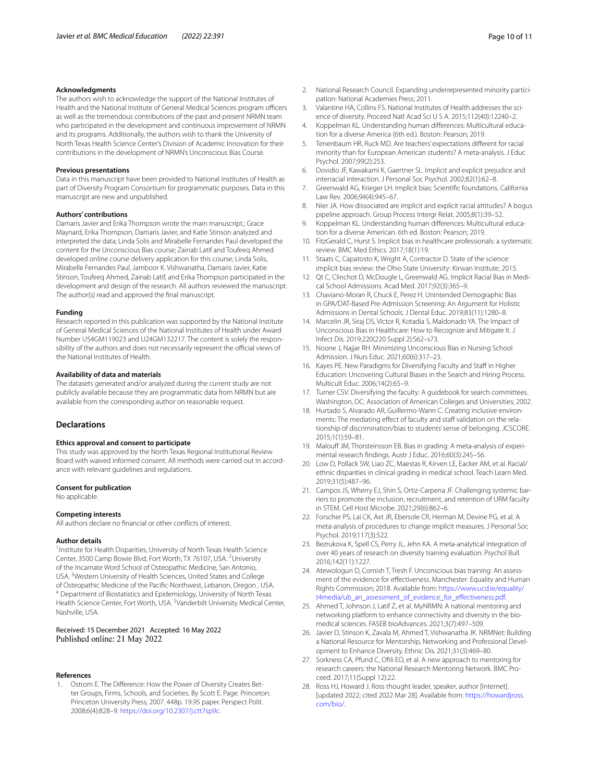#### **Acknowledgments**

The authors wish to acknowledge the support of the National Institutes of Health and the National Institute of General Medical Sciences program officers as well as the tremendous contributions of the past and present NRMN team who participated in the development and continuous improvement of NRMN and its programs. Additionally, the authors wish to thank the University of North Texas Health Science Center's Division of Academic Innovation for their contributions in the development of NRMN's Unconscious Bias Course.

#### **Previous presentations**

Data in this manuscript have been provided to National Institutes of Health as part of Diversity Program Consortium for programmatic purposes. Data in this manuscript are new and unpublished.

# **Authors' contributions**

Damaris Javier and Erika Thompson wrote the main manuscript.; Grace Maynard, Erika Thompson, Damaris Javier, and Katie Stinson analyzed and interpreted the data; Linda Solis and Mirabelle Fernandes Paul developed the content for the Unconscious Bias course; Zainab Latif and Toufeeq Ahmed developed online course delivery application for this course; Linda Solis, Mirabelle Fernandes Paul, Jamboor K. Vishwanatha, Damaris Javier, Katie Stinson, Toufeeq Ahmed, Zainab Latif, and Erika Thompson participated in the development and design of the research. All authors reviewed the manuscript. The author(s) read and approved the fnal manuscript.

#### **Funding**

Research reported in this publication was supported by the National Institute of General Medical Sciences of the National Institutes of Health under Award Number U54GM119023 and U24GM132217. The content is solely the responsibility of the authors and does not necessarily represent the official views of the National Institutes of Health.

#### **Availability of data and materials**

The datasets generated and/or analyzed during the current study are not publicly available because they are programmatic data from NRMN but are available from the corresponding author on reasonable request.

# **Declarations**

#### **Ethics approval and consent to participate**

This study was approved by the North Texas Regional Institutional Review Board with waived informed consent. All methods were carried out in accordance with relevant guidelines and regulations.

#### **Consent for publication**

No applicable.

#### **Competing interests**

All authors declare no fnancial or other conficts of interest.

#### **Author details**

<sup>1</sup> Institute for Health Disparities, University of North Texas Health Science Center, 3500 Camp Bowie Blvd, Fort Worth, TX 76107, USA. <sup>2</sup>University of the Incarnate Word School of Osteopathic Medicine, San Antonio, USA. <sup>3</sup> Western University of Health Sciences, United States and College of Osteopathic Medicine of the Pacifc-Northwest, Lebanon, Oregon , USA. 4 Department of Biostatistics and Epidemiology, University of North Texas Health Science Center, Fort Worth, USA. <sup>5</sup>Vanderbilt University Medical Center, Nashville, USA.

# Received: 15 December 2021 Accepted: 16 May 2022 Published online: 21 May 2022

#### **References**

<span id="page-9-0"></span>1. Ostrom E. The Diference: How the Power of Diversity Creates Better Groups, Firms, Schools, and Societies. By Scott E. Page. Princeton: Princeton University Press, 2007. 448p. 19.95 paper. Perspect Polit. 2008;6(4):828–9. [https://doi.org/10.2307/j.ctt7sp9c.](https://doi.org/10.2307/j.ctt7sp9c)

- 2. National Research Council. Expanding underrepresented minority participation: National Academies Press; 2011.
- <span id="page-9-1"></span>3. Valantine HA, Collins FS. National Institutes of Health addresses the science of diversity. Proceed Natl Acad Sci U S A. 2015;112(40):12240–2.
- <span id="page-9-2"></span>4. Koppelman KL. Understanding human diferences: Multicultural education for a diverse America (6th ed.). Boston: Pearson; 2019.
- <span id="page-9-3"></span>5. Tenenbaum HR, Ruck MD. Are teachers' expectations diferent for racial minority than for European American students? A meta-analysis. J Educ Psychol. 2007;99(2):253.
- <span id="page-9-4"></span>6. Dovidio JF, Kawakami K, Gaertner SL. Implicit and explicit prejudice and interracial interaction. J Personal Soc Psychol. 2002;82(1):62–8.
- 7. Greenwald AG, Krieger LH. Implicit bias: Scientifc foundations. California Law Rev. 2006;94(4):945–67.
- 8. Nier JA. How dissociated are implicit and explicit racial attitudes? A bogus pipeline approach. Group Process Intergr Relat. 2005;8(1):39–52.
- <span id="page-9-5"></span>9. Koppelman KL. Understanding human diferences: Multicultural education for a diverse American. 6th ed. Boston: Pearson; 2019.
- <span id="page-9-6"></span>10. FitzGerald C, Hurst S. Implicit bias in healthcare professionals: a systematic review. BMC Med Ethics. 2017;18(1):19.
- <span id="page-9-7"></span>11. Staats C, Capatosto K, Wright A, Contractor D. State of the science: implicit bias review: the Ohio State University: Kirwan Institute; 2015.
- <span id="page-9-8"></span>12. Qt C, Clinchot D, McDougle L, Greenwald AG. Implicit Racial Bias in Medical School Admissions. Acad Med. 2017;92(3):365–9.
- 13. Chaviano-Moran R, Chuck E, Perez H. Unintended Demographic Bias in GPA/DAT-Based Pre-Admission Screening: An Argument for Holistic Admissions in Dental Schools. J Dental Educ. 2019;83(11):1280–8.
- <span id="page-9-10"></span>14. Marcelin JR, Siraj DS, Victor R, Kotadia S, Maldonado YA. The Impact of Unconscious Bias in Healthcare: How to Recognize and Mitigate It. J Infect Dis. 2019;220(220 Suppl 2):S62–s73.
- <span id="page-9-9"></span>15. Noone J, Najjar RH. Minimizing Unconscious Bias in Nursing School Admission. J Nurs Educ. 2021;60(6):317–23.
- <span id="page-9-11"></span>16. Kayes PE. New Paradigms for Diversifying Faculty and Staff in Higher Education: Uncovering Cultural Biases in the Search and Hiring Process. Multicult Educ. 2006;14(2):65–9.
- <span id="page-9-12"></span>17. Turner CSV. Diversifying the faculty: A guidebook for search committees. Washington, DC: Association of American Colleges and Universities; 2002.
- <span id="page-9-13"></span>18. Hurtado S, Alvarado AR, Guillermo-Wann C. Creating inclusive environments: The mediating effect of faculty and staff validation on the relationship of discrimination/bias to students' sense of belonging. JCSCORE. 2015;1(1):59–81.
- <span id="page-9-14"></span>19. Malouff JM, Thorsteinsson EB. Bias in grading: A meta-analysis of experimental research fndings. Austr J Educ. 2016;60(3):245–56.
- <span id="page-9-15"></span>20. Low D, Pollack SW, Liao ZC, Maestas R, Kirven LE, Eacker AM, et al. Racial/ ethnic disparities in clinical grading in medical school. Teach Learn Med. 2019;31(5):487–96.
- <span id="page-9-16"></span>21. Campos JS, Wherry EJ, Shin S, Ortiz-Carpena JF. Challenging systemic barriers to promote the inclusion, recruitment, and retention of URM faculty in STEM. Cell Host Microbe. 2021;29(6):862–6.
- <span id="page-9-17"></span>22. Forscher PS, Lai CK, Axt JR, Ebersole CR, Herman M, Devine PG, et al. A meta-analysis of procedures to change implicit measures. J Personal Soc Psychol. 2019;117(3):522.
- 23. Bezrukova K, Spell CS, Perry JL, Jehn KA. A meta-analytical integration of over 40 years of research on diversity training evaluation. Psychol Bull. 2016;142(11):1227.
- <span id="page-9-18"></span>24. Atewologun D, Cornish T, Tresh F. Unconscious bias training: An assessment of the evidence for efectiveness. Manchester: Equality and Human Rights Commission; 2018. Available from: [https://www.ucd.ie/equality/](https://www.ucd.ie/equality/t4media/ub_an_assessment_of_evidence_for_effectiveness.pdf) t4media/ub\_an\_assessment\_of\_evidence\_for\_effectiveness.pdf.
- <span id="page-9-19"></span>25. Ahmed T, Johnson J, Latif Z, et al. MyNRMN: A national mentoring and networking platform to enhance connectivity and diversity in the biomedical sciences. FASEB bioAdvances. 2021;3(7):497–509.
- 26. Javier D, Stinson K, Zavala M, Ahmed T, Vishwanatha JK. NRMNet: Building a National Resource for Mentorship, Networking and Professional Development to Enhance Diversity. Ethnic Dis. 2021;31(3):469–80.
- <span id="page-9-20"></span>27. Sorkness CA, Pfund C, Ofli EO, et al. A new approach to mentoring for research careers: the National Research Mentoring Network. BMC Proceed. 2017;11(Suppl 12):22.
- <span id="page-9-21"></span>28. Ross HJ, Howard J. Ross thought leader, speaker, author [Internet]. [updated 2022; cited 2022 Mar 28]. Available from: [https://howardjross.](https://howardjross.com/bio/) [com/bio/](https://howardjross.com/bio/).